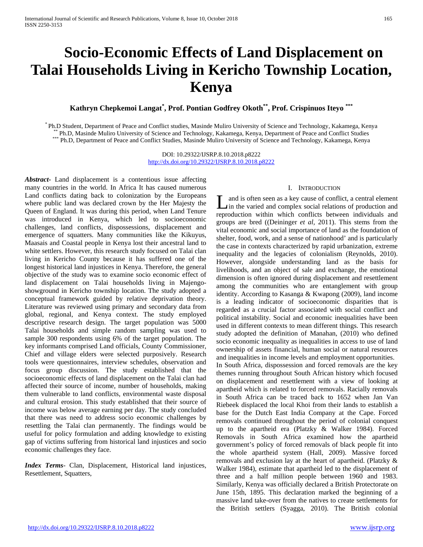# **Socio-Economic Effects of Land Displacement on Talai Households Living in Kericho Township Location, Kenya**

**Kathryn Chepkemoi Langat\* , Prof. Pontian Godfrey Okoth\*\*, Prof. Crispinuos Iteyo \*\*\***

\* Ph.D Student, Department of Peace and Conflict studies, Masinde Muliro University of Science and Technology, Kakamega, Kenya<br>\*\* Ph.D, Masinde Muliro University of Science and Technology, Kakamega, Kenya, Department of Pe

DOI: 10.29322/IJSRP.8.10.2018.p8222 <http://dx.doi.org/10.29322/IJSRP.8.10.2018.p8222>

*Abstract***-** Land displacement is a contentious issue affecting many countries in the world. In Africa It has caused numerous Land conflicts dating back to colonization by the Europeans where public land was declared crown by the Her Majesty the Queen of England. It was during this period, when Land Tenure was introduced in Kenya, which led to socioeconomic challenges, land conflicts, dispossessions, displacement and emergence of squatters. Many communities like the Kikuyus, Maasais and Coastal people in Kenya lost their ancestral land to white settlers. However, this research study focused on Talai clan living in Kericho County because it has suffered one of the longest historical land injustices in Kenya. Therefore, the general objective of the study was to examine socio economic effect of land displacement on Talai households living in Majengoshowground in Kericho township location. The study adopted a conceptual framework guided by relative deprivation theory. Literature was reviewed using primary and secondary data from global, regional, and Kenya context. The study employed descriptive research design. The target population was 5000 Talai households and simple random sampling was used to sample 300 respondents using 6% of the target population. The key informants comprised Land officials, County Commissioner, Chief and village elders were selected purposively. Research tools were questionnaires, interview schedules, observation and focus group discussion. The study established that the socioeconomic effects of land displacement on the Talai clan had affected their source of income, number of households, making them vulnerable to land conflicts, environmental waste disposal and cultural erosion. This study established that their source of income was below average earning per day. The study concluded that there was need to address socio economic challenges by resettling the Talai clan permanently. The findings would be useful for policy formulation and adding knowledge to existing gap of victims suffering from historical land injustices and socio economic challenges they face.

*Index Terms*- Clan, Displacement, Historical land injustices, Resettlement, Squatters,

# I. INTRODUCTION

and is often seen as a key cause of conflict, a central element I and is often seen as a key cause of conflict, a central element<br>in the varied and complex social relations of production and<br>distribution in the set of the set of the set of the set of the set of the set of the set of th reproduction within which conflicts between individuals and groups are bred ((Deininger *et al,* 2011). This stems from the vital economic and social importance of land as the foundation of shelter, food, work, and a sense of nationhood' and is particularly the case in contexts characterized by rapid urbanization, extreme inequality and the legacies of colonialism (Reynolds, 2010). However, alongside understanding land as the basis for livelihoods, and an object of sale and exchange, the emotional dimension is often ignored during displacement and resettlement among the communities who are entanglement with group identity. According to Kasanga & Kwapong (2009), land income is a leading indicator of socioeconomic disparities that is regarded as a crucial factor associated with social conflict and political instability. Social and economic inequalities have been used in different contexts to mean different things. This research study adopted the definition of Manahan, (2010) who defined socio economic inequality as inequalities in access to use of land ownership of assets financial, human social or natural resources and inequalities in income levels and employment opportunities. In South Africa, dispossession and forced removals are the key

themes running throughout South African history which focused on displacement and resettlement with a view of looking at apartheid which is related to forced removals. Racially removals in South Africa can be traced back to 1652 when Jan Van Riebeek displaced the local Khoi from their lands to establish a base for the Dutch East India Company at the Cape. Forced removals continued throughout the period of colonial conquest up to the apartheid era (Platzky & Walker 1984). Forced Removals in South Africa examined how the apartheid government's policy of forced removals of black people fit into the whole apartheid system (Hall, 2009). Massive forced removals and exclusion lay at the heart of apartheid. (Platzky & Walker 1984), estimate that apartheid led to the displacement of three and a half million people between 1960 and 1983. Similarly, Kenya was officially declared a British Protectorate on June 15th, 1895. This declaration marked the beginning of a massive land take-over from the natives to create settlements for the British settlers (Syagga, 2010). The British colonial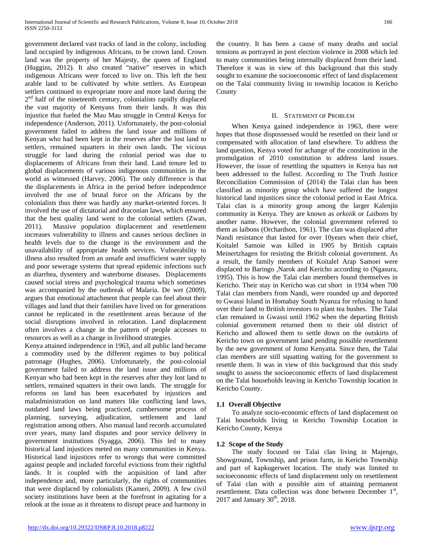government declared vast tracks of land in the colony, including land occupied by indigenous Africans, to be crown land. Crown land was the property of her Majesty, the queen of England (Huggins, 2012). It also created "native" reserves in which indigenous Africans were forced to live on. This left the best arable land to be cultivated by white settlers. As European settlers continued to expropriate more and more land during the  $2<sup>nd</sup>$  half of the nineteenth century, colonialists rapidly displaced the vast majority of Kenyans from their lands. It was this injustice that fueled the Mau Mau struggle in Central Kenya for independence (Anderson, 2011). Unfortunately, the post-colonial government failed to address the land issue and millions of Kenyan who had been kept in the reserves after the lost land to settlers, remained squatters in their own lands. The vicious struggle for land during the colonial period was due to displacements of Africans from their land. Land tenure led to global displacements of various indigenous communities in the world as witnessed (Harvey, 2006). The only difference is that the displacements in Africa in the period before independence involved the use of brutal force on the Africans by the colonialists thus there was hardly any market-oriented forces. It involved the use of dictatorial and draconian laws, which ensured that the best quality land went to the colonial settlers (Zwan, 2011). Massive population displacement and resettlement increases vulnerability to illness and causes serious declines in health levels due to the change in the environment and the unavailability of appropriate health services. Vulnerability to illness also resulted from an unsafe and insufficient water supply and poor sewerage systems that spread epidemic infections such as diarrhea, dysentery and waterborne diseases. Displacements caused social stress and psychological trauma which sometimes was accompanied by the outbreak of Malaria. De wet (2009), argues that emotional attachment that people can feel about their villages and land that their families have lived on for generations cannot be replicated in the resettlement areas because of the social disruptions involved in relocation. Land displacement often involves a change in the pattern of people accesses to resources as well as a change in livelihood strategies.

Kenya attained independence in 1963, and all public land became a commodity used by the different regimes to buy political patronage (Hughes, 2006). Unfortunately, the post-colonial government failed to address the land issue and millions of Kenyan who had been kept in the reserves after they lost land to settlers, remained squatters in their own lands. The struggle for reforms on land has been exacerbated by injustices and maladministration on land matters like conflicting land laws, outdated land laws being practiced, cumbersome process of planning, surveying, adjudication, settlement and land registration among others. Also manual land records accumulated over years, many land disputes and poor service delivery in government institutions (Syagga, 2006). This led to many historical land injustices meted on many communities in Kenya. Historical land injustices refer to wrongs that were committed against people and included forceful evictions from their rightful lands. It is coupled with the acquisition of land after independence and, more particularly, the rights of communities that were displaced by colonialists (Kameri, 2009). A few civil society institutions have been at the forefront in agitating for a relook at the issue as it threatens to disrupt peace and harmony in

the country. It has been a cause of many deaths and social tensions as portrayed in post election violence in 2008 which led to many communities being internally displaced from their land. Therefore it was in view of this background that this study sought to examine the socioeconomic effect of land displacement on the Talai community living in township location in Kericho County

# II. STATEMENT OF PROBLEM

 When Kenya gained independence in 1963, there were hopes that those dispossessed would be resettled on their land or compensated with allocation of land elsewhere. To address the land question, Kenya voted for achange of the constitution in the promulgation of 2010 constitution to address land issues. However, the issue of resettling the squatters in Kenya has not been addressed to the fullest. According to The Truth Justice Reconciliation Commission of (2014) the Talai clan has been classified as minority group which have suffered the longest historical land injustices since the colonial period in East Africa. Talai clan is a minority group among the larger Kalenjin community in Kenya. They are known as *orkoiik* or *Laibons* by another name. However, the colonial government referred to them as laibons (Orchardson, 1961). The clan was displaced after Nandi resistance that lasted for over 10years when their chief, Koitalel Samoie was killed in 1905 by British captain Meinertzhagen for resisting the British colonial government. As a result, the family members of Koitalel Arap Samoei were displaced to Baringo ,Narok and Kericho according to (Ngasura, 1995). This is how the Talai clan members found themselves in Kericho. Their stay in Kericho was cut short in 1934 when 700 Talai clan members from Nandi, were rounded up and deported to Gwassi Island in Homabay South Nyanza for refusing to hand over their land to British investors to plant tea bushes. The Talai clan remained in Gwassi until 1962 when the departing British colonial government returned them to their old district of Kericho and allowed them to settle down on the outskirts of Kericho town on government land pending possible resettlement by the new government of Jomo Kenyatta. Since then, the Talai clan members are still squatting waiting for the government to resettle them. It was in view of this background that this study sought to assess the socioeconomic effects of land displacement on the Talai households leaving in Kericho Township location in Kericho County.

# **1.1 Overall Objective**

 To analyze socio-economic effects of land displacement on Talai households living in Kericho Township Location in Kericho County, Kenya

# **1.2 Scope of the Study**

 The study focused on Talai clan living in Majengo, Showground, Township, and prison farm, in Kericho Township and part of kapkugerwet location. The study was limited to socioeconomic effects of land displacement only on resettlement of Talai clan with a possible aim of attaining permanent resettlement. Data collection was done between December 1<sup>st</sup>,  $2017$  and January  $30<sup>th</sup>$ ,  $2018$ .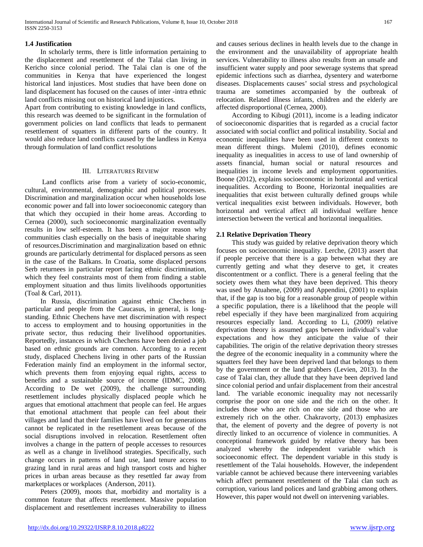# **1.4 Justification**

 In scholarly terms, there is little information pertaining to the displacement and resettlement of the Talai clan living in Kericho since colonial period. The Talai clan is one of the communities in Kenya that have experienced the longest historical land injustices. Most studies that have been done on land displacement has focused on the causes of inter -intra ethnic land conflicts missing out on historical land injustices.

Apart from contributing to existing knowledge in land conflicts, this research was deemed to be significant in the formulation of government policies on land conflicts that leads to permanent resettlement of squatters in different parts of the country. It would also reduce land conflicts caused by the landless in Kenya through formulation of land conflict resolutions

# III. LITERATURES REVIEW

 Land conflicts arise from a variety of socio-economic, cultural, environmental, demographic and political processes. Discrimination and marginalization occur when households lose economic power and fall into lower socioeconomic category than that which they occupied in their home areas. According to Cernea (2000), such socioeconomic marginalization eventually results in low self-esteem. It has been a major reason why communities clash especially on the basis of inequitable sharing of resources.Discrimination and marginalization based on ethnic grounds are particularly detrimental for displaced persons as seen in the case of the Balkans. In Croatia, some displaced persons Serb returnees in particular report facing ethnic discrimination, which they feel constraints most of them from finding a stable employment situation and thus limits livelihoods opportunities (Toal & Carl, 2011).

 In Russia, discrimination against ethnic Chechens in particular and people from the Caucasus, in general, is longstanding. Ethnic Chechens have met discrimination with respect to access to employment and to housing opportunities in the private sector, thus reducing their livelihood opportunities. Reportedly, instances in which Chechens have been denied a job based on ethnic grounds are common. According to a recent study, displaced Chechens living in other parts of the Russian Federation mainly find an employment in the informal sector, which prevents them from enjoying equal rights, access to benefits and a sustainable source of income (IDMC, 2008). According to De wet (2009), the challenge surrounding resettlement includes physically displaced people which he argues that emotional attachment that people can feel. He argues that emotional attachment that people can feel about their villages and land that their families have lived on for generations cannot be replicated in the resettlement areas because of the social disruptions involved in relocation. Resettlement often involves a change in the pattern of people accesses to resources as well as a change in livelihood strategies. Specifically, such change occurs in patterns of land use, land tenure access to grazing land in rural areas and high transport costs and higher prices in urban areas because as they resettled far away from marketplaces or workplaces (Anderson, 2011).

 Peters (2009), moots that, morbidity and mortality is a common feature that affects resettlement. Massive population displacement and resettlement increases vulnerability to illness

and causes serious declines in health levels due to the change in the environment and the unavailability of appropriate health services. Vulnerability to illness also results from an unsafe and insufficient water supply and poor sewerage systems that spread epidemic infections such as diarrhea, dysentery and waterborne diseases. Displacements causes' social stress and psychological trauma are sometimes accompanied by the outbreak of relocation. Related illness infants, children and the elderly are affected disproportional (Cernea, 2000).

 According to Kibugi (2011), income is a leading indicator of socioeconomic disparities that is regarded as a crucial factor associated with social conflict and political instability. Social and economic inequalities have been used in different contexts to mean different things. Mulemi (2010), defines economic inequality as inequalities in access to use of land ownership of assets financial, human social or natural resources and inequalities in income levels and employment opportunities. Boone (2012), explains socioeconomic in horizontal and vertical inequalities. According to Boone, Horizontal inequalities are inequalities that exist between culturally defined groups while vertical inequalities exist between individuals. However, both horizontal and vertical affect all individual welfare hence intersection between the vertical and horizontal inequalities.

# **2.1 Relative Deprivation Theory**

 This study was guided by relative deprivation theory which focuses on socioeconomic inequality. Lerche, (2013) assert that if people perceive that there is a gap between what they are currently getting and what they deserve to get, it creates discontentment or a conflict. There is a general feeling that the society owes them what they have been deprived. This theory was used by Atuahene, (2009) and Appendini, (2001) to explain that, if the gap is too big for a reasonable group of people within a specific population, there is a likelihood that the people will rebel especially if they have been marginalized from acquiring resources especially land. According to Li, (2009) relative deprivation theory is assumed gaps between individual's value expectations and how they anticipate the value of their capabilities. The origin of the relative deprivation theory stresses the degree of the economic inequality in a community where the squatters feel they have been deprived land that belongs to them by the government or the land grabbers (Levien, 2013). In the case of Talai clan, they allude that they have been deprived land since colonial period and unfair displacement from their ancestral land. The variable economic inequality may not necessarily comprise the poor on one side and the rich on the other. It includes those who are rich on one side and those who are extremely rich on the other. Chakravorty, (2013) emphasizes that, the element of poverty and the degree of poverty is not directly linked to an occurrence of violence in communities. A conceptional framework guided by relative theory has been analyzed whereby the independent variable which is socioeconomic effect. The dependent variable in this study is resettlement of the Talai households. However, the independent variable cannot be achieved because there interveening variables which affect permanent resettlement of the Talai clan such as corruption, various land polices and land grabbing among others. However, this paper would not dwell on intervening variables.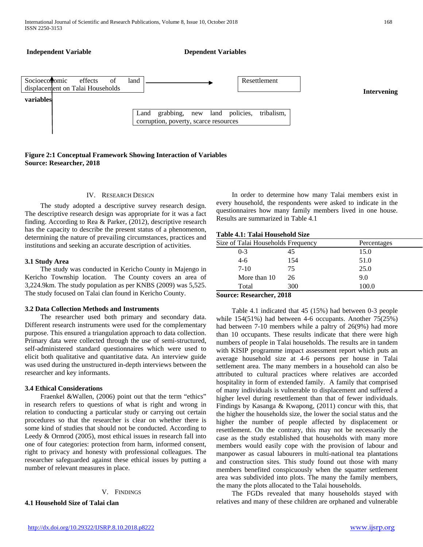

# **Figure 2:1 Conceptual Framework Showing Interaction of Variables Source: Researcher, 2018**

#### IV. RESEARCH DESIGN

 The study adopted a descriptive survey research design. The descriptive research design was appropriate for it was a fact finding. According to Rea & Parker, (2012), descriptive research has the capacity to describe the present status of a phenomenon, determining the nature of prevailing circumstances, practices and institutions and seeking an accurate description of activities.

#### **3.1 Study Area**

 The study was conducted in Kericho County in Majengo in Kericho Township location. The County covers an area of 3,224.9km. The study population as per KNBS (2009) was 5,525. The study focused on Talai clan found in Kericho County.

#### **3.2 Data Collection Methods and Instruments**

 The researcher used both primary and secondary data. Different research instruments were used for the complementary purpose. This ensured a triangulation approach to data collection. Primary data were collected through the use of semi-structured, self-administered standard questionnaires which were used to elicit both qualitative and quantitative data. An interview guide was used during the unstructured in-depth interviews between the researcher and key informants.

#### **3.4 Ethical Considerations**

 Fraenkel &Wallen, (2006) point out that the term "ethics" in research refers to questions of what is right and wrong in relation to conducting a particular study or carrying out certain procedures so that the researcher is clear on whether there is some kind of studies that should not be conducted. According to Leedy & Ormrod (2005), most ethical issues in research fall into one of four categories: protection from harm, informed consent, right to privacy and honesty with professional colleagues. The researcher safeguarded against these ethical issues by putting a number of relevant measures in place.

## V. FINDINGS

**4.1 Household Size of Talai clan**

 In order to determine how many Talai members exist in every household, the respondents were asked to indicate in the questionnaires how many family members lived in one house. Results are summarized in Table 4.1

#### **Table 4.1: Talai Household Size**

| Size of Talai Households Frequency |     | Percentages |  |
|------------------------------------|-----|-------------|--|
| $0 - 3$                            | 45  | 15.0        |  |
| $4 - 6$                            | 154 | 51.0        |  |
| $7-10$                             | 75  | 25.0        |  |
| More than 10                       | 26  | 9.0         |  |
| Total                              | 300 | 100.0       |  |

## **Source: Researcher, 2018**

 Table 4.1 indicated that 45 (15%) had between 0-3 people while 154(51%) had between 4-6 occupants. Another 75(25%) had between 7-10 members while a paltry of 26(9%) had more than 10 occupants. These results indicate that there were high numbers of people in Talai households. The results are in tandem with KISIP programme impact assessment report which puts an average household size at 4-6 persons per house in Talai settlement area. The many members in a household can also be attributed to cultural practices where relatives are accorded hospitality in form of extended family. A family that comprised of many individuals is vulnerable to displacement and suffered a higher level during resettlement than that of fewer individuals. Findings by Kasanga & Kwapong, (2011) concur with this, that the higher the households size, the lower the social status and the higher the number of people affected by displacement or resettlement. On the contrary, this may not be necessarily the case as the study established that households with many more members would easily cope with the provision of labour and manpower as casual labourers in multi-national tea plantations and construction sites. This study found out those with many members benefited conspicuously when the squatter settlement area was subdivided into plots. The many the family members, the many the plots allocated to the Talai households.

 The FGDs revealed that many households stayed with relatives and many of these children are orphaned and vulnerable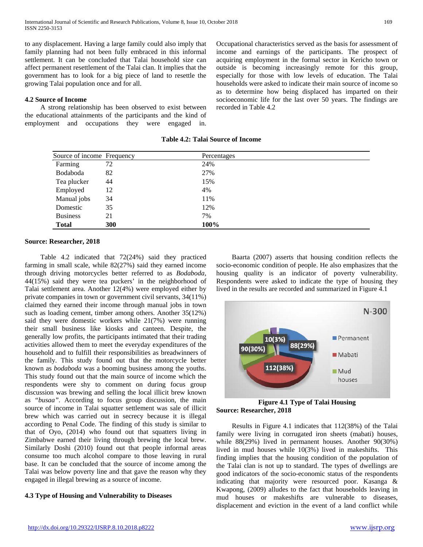to any displacement. Having a large family could also imply that family planning had not been fully embraced in this informal settlement. It can be concluded that Talai household size can affect permanent resettlement of the Talai clan. It implies that the government has to look for a big piece of land to resettle the growing Talai population once and for all.

# **4.2 Source of Income**

 A strong relationship has been observed to exist between the educational attainments of the participants and the kind of employment and occupations they were engaged in. Occupational characteristics served as the basis for assessment of income and earnings of the participants. The prospect of acquiring employment in the formal sector in Kericho town or outside is becoming increasingly remote for this group, especially for those with low levels of education. The Talai households were asked to indicate their main source of income so as to determine how being displaced has imparted on their socioeconomic life for the last over 50 years. The findings are recorded in Table 4.2

| <b>Table 4.2: Talai Source of Income</b> |  |  |  |  |
|------------------------------------------|--|--|--|--|
|------------------------------------------|--|--|--|--|

| Source of income Frequency |            | Percentages |
|----------------------------|------------|-------------|
| Farming                    | 72         | 24%         |
| Bodaboda                   | 82         | 27%         |
| Tea plucker                | 44         | 15%         |
| Employed                   | 12         | 4%          |
| Manual jobs                | 34         | 11%         |
| Domestic                   | 35         | 12%         |
| <b>Business</b>            | 21         | 7%          |
| <b>Total</b>               | <b>300</b> | 100%        |

# **Source: Researcher, 2018**

 Table 4.2 indicated that 72(24%) said they practiced farming in small scale, while 82(27%) said they earned income through driving motorcycles better referred to as *Bodaboda*, 44(15%) said they were tea puckers' in the neighborhood of Talai settlement area. Another 12(4%) were employed either by private companies in town or government civil servants, 34(11%) claimed they earned their income through manual jobs in town such as loading cement, timber among others. Another 35(12%) said they were domestic workers while 21(7%) were running their small business like kiosks and canteen. Despite, the generally low profits, the participants intimated that their trading activities allowed them to meet the everyday expenditures of the household and to fulfill their responsibilities as breadwinners of the family. This study found out that the motorcycle better known as *bodaboda* was a booming business among the youths. This study found out that the main source of income which the respondents were shy to comment on during focus group discussion was brewing and selling the local illicit brew known as *"busaa".* According to focus group discussion, the main source of income in Talai squatter settlement was sale of illicit brew which was carried out in secrecy because it is illegal according to Penal Code. The finding of this study is similar to that of Oyo, (2014) who found out that squatters living in Zimbabwe earned their living through brewing the local brew. Similarly Doshi (2010) found out that people informal areas consume too much alcohol compare to those leaving in rural base. It can be concluded that the source of income among the Talai was below poverty line and that gave the reason why they engaged in illegal brewing as a source of income.

# **4.3 Type of Housing and Vulnerability to Diseases**

 Baarta (2007) asserts that housing condition reflects the socio-economic condition of people. He also emphasizes that the housing quality is an indicator of poverty vulnerability. Respondents were asked to indicate the type of housing they lived in the results are recorded and summarized in Figure 4.1



**Figure 4.1 Type of Talai Housing Source: Researcher, 2018**

 Results in Figure 4.1 indicates that 112(38%) of the Talai family were living in corrugated iron sheets (mabati) houses, while 88(29%) lived in permanent houses. Another 90(30%) lived in mud houses while 10(3%) lived in makeshifts. This finding implies that the housing condition of the population of the Talai clan is not up to standard. The types of dwellings are good indicators of the socio-economic status of the respondents indicating that majority were resourced poor. Kasanga & Kwapong, (2009) alludes to the fact that households leaving in mud houses or makeshifts are vulnerable to diseases, displacement and eviction in the event of a land conflict while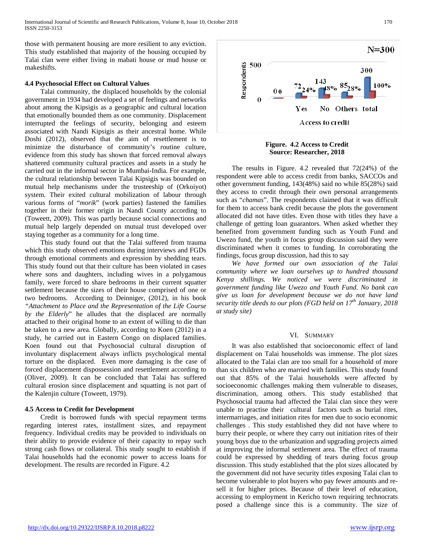those with permanent housing are more resilient to any eviction. This study established that majority of the housing occupied by Talai clan were either living in mabati house or mud house or makeshifts.

## **4.4 Psychosocial Effect on Cultural Values**

 Talai community, the displaced households by the colonial government in 1934 had developed a set of feelings and networks about among the Kipsigis as a geographic and cultural location that emotionally bounded them as one community. Displacement interrupted the feelings of security, belonging and esteem associated with Nandi Kipsigis as their ancestral home. While Doshi (2012), observed that the aim of resettlement is to minimize the disturbance of community's routine culture, evidence from this study has shown that forced removal always shattered community cultural practices and assets in a study he carried out in the informal sector in Mumbai-India. For example, the cultural relationship between Talai Kipsigis was bounded on mutual help mechanisms under the trusteeship of (Orkoiyot) system. Their exited cultural mobilization of labour through various forms of "*morik*" (work parties) fastened the families together in their former origin in Nandi County according to (Toweett, 2009). This was partly because social connections and mutual help largely depended on mutual trust developed over staying together as a community for a long time.

 This study found out that the Talai suffered from trauma which this study observed emotions during interviews and FGDs through emotional comments and expression by shedding tears. This study found out that their culture has been violated in cases where sons and daughters, including wives in a polygamous family, were forced to share bedrooms in their current squatter settlement because the sizes of their house comprised of one or two bedrooms. According to Deinniger, (2012), in his book *"Attachment to Place and the Representation of the Life Course by the Elderly*" he alludes that the displaced are normally attached to their original home to an extent of willing to die than be taken to a new area. Globally, according to Koen (2012) in a study, he carried out in Eastern Congo on displaced families. Koen found out that Psychosocial cultural disruption of involuntary displacement always inflicts psychological mental torture on the displaced. Even more damaging is the case of forced displacement dispossession and resettlement according to (Oliver, 2009). It can be concluded that Talai has suffered cultural erosion since displacement and squatting is not part of the Kalenjin culture (Toweett, 1979).

#### **4.5 Access to Credit for Development**

 Credit is borrowed funds with special repayment terms regarding interest rates, installment sizes, and repayment frequency. Individual credits may be provided to individuals on their ability to provide evidence of their capacity to repay such strong cash flows or collateral. This study sought to establish if Talai households had the economic power to access loans for development. The results are recorded in Figure. 4.2



**Figure. 4.2 Access to Credit Source: Researcher, 2018**

 The results in Figure. 4.2 revealed that 72(24%) of the respondent were able to access credit from banks, SACCOs and other government funding, 143(48%) said no while 85(28%) said they access to credit through their own personal arrangements such as "*chamas*". The respondents claimed that it was difficult for them to access bank credit because the plots the government allocated did not have titles. Even those with titles they have a challenge of getting loan guarantors. When asked whether they benefited from government funding such as Youth Fund and Uwezo fund, the youth in focus group discussion said they were discriminated when it comes to funding. In corroborating the findings, focus group discussion, had this to say

 *We have formed our own association of the Talai community where we loan ourselves up to hundred thousand Kenya shillings. We noticed we were discriminated in government funding like Uwezo and Youth Fund. No bank can give us loan for development because we do not have land security title deeds to our plots (FGD held on 17th January, 2018 at study site)*

#### VI. SUMMARY

 It was also established that socioeconomic effect of land displacement on Talai households was immense. The plot sizes allocated to the Talai clan are too small for a household of more than six children who are married with families. This study found out that 85% of the Talai households were affected by socioeconomic challenges making them vulnerable to diseases, discrimination, among others. This study established that Psychosocial trauma had affected the Talai clan since they were unable to practise their cultural factors such as burial rites, intermarriages, and initiation rites for men due to socio economic challenges . This study established they did not have where to burry their people, or where they carry out initiation rites of their young boys due to the urbanization and upgrading projects aimed at improving the informal settlement area. The effect of trauma could be expressed by shedding of tears during focus group discussion. This study established that the plot sizes allocated by the government did not have security titles exposing Talai clan to become vulnerable to plot buyers who pay fewer amounts and resell it for higher prices. Because of their level of education, accessing to employment in Kericho town requiring technocrats posed a challenge since this is a community. The size of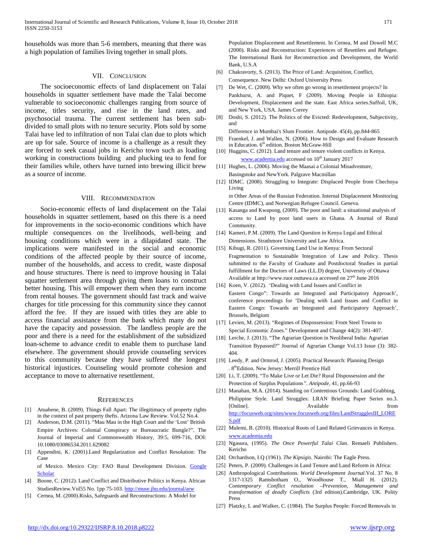households was more than 5-6 members, meaning that there was a high population of families living together in small plots.

#### VII. CONCLUSION

 The socioeconomic effects of land displacement on Talai households in squatter settlement have made the Talai become vulnerable to socioeconomic challenges ranging from source of income, titles security, and rise in the land rates, and psychosocial trauma. The current settlement has been subdivided to small plots with no tenure security. Plots sold by some Talai have led to infiltration of non Talai clan due to plots which are up for sale. Source of income is a challenge as a result they are forced to seek casual jobs in Kericho town such as loading working in constructions building and plucking tea to fend for their families while, others have turned into brewing illicit brew as a source of income.

### VIII. RECOMMENDATION

 Socio-economic effects of land displacement on the Talai households in squatter settlement, based on this there is a need for improvements in the socio-economic conditions which have multiple consequences on the livelihoods, well-being and housing conditions which were in a dilapidated state. The implications were manifested in the social and economic conditions of the affected people by their source of income, number of the households, and access to credit, waste disposal and house structures. There is need to improve housing in Talai squatter settlement area through giving them loans to construct better housing. This will empower them when they earn income from rental houses. The government should fast track and waive charges for title processing for this community since they cannot afford the fee. If they are issued with titles they are able to access financial assistance from the bank which many do not have the capacity and possession. The landless people are the poor and there is a need for the establishment of the subsidized loan-scheme to advance credit to enable them to purchase land elsewhere. The government should provide counseling services to this community because they have suffered the longest historical injustices. Counseling would promote cohesion and acceptance to move to alternative resettlement.

#### **REFERENCES**

- [1] Atuahene, B. (2009). Things Fall Apart: The illegitimacy of property rights in the context of past property thefts. Arizona Law Review. Vol.52 No.4.
- [2] Anderson, D.M. (2011). "Mau Mau in the High Court and the 'Lost' British Empire Archives: Colonial Conspiracy or Bureaucratic Bungle?", The Journal of Imperial and Commonwealth History, 39:5, 699-716, DOI: 10.1080/03086534.2011.629082
- [3] Appendini, K. (2001).Land Regularization and Conflict Resolution: The Case

of Mexico. Mexico City: FAO Rural Development Division. [Google](http://scholar.google.com/scholar_lookup?publication_year=2001&author=K+Appendini&title=Land+Regularization+and+Conflict+Resolution:+The+Case+of+Mexico)  [Scholar](http://scholar.google.com/scholar_lookup?publication_year=2001&author=K+Appendini&title=Land+Regularization+and+Conflict+Resolution:+The+Case+of+Mexico)

- [4] Boone, C. (2012). Land Conflict and Distributive Politics in Kenya. African StudiesReview.Vol55 No. 1pp 75-103[. http://muse.jhu.edu/journal/arw](http://muse.jhu.edu/journal/arw)
- [5] Cernea, M. (2000).Risks, Safeguards and Reconstructions: A Model for

Population Displacement and Resettlement. In Cernea, M and Dowell M.C (2000). Risks and Reconstruction: Experiences of Resettlers and Refugee. The International Bank for Reconstruction and Development, the World Bank, U.S.A

- [6] Chakravorty, S. (2013). The Price of Land: Acquisition, Conflict, Consequence. New Delhi: Oxford University Press
- [7] De Wet, C. (2009). Why we often go wrong in resettlement projects? In Pankhurst, A. and Piquet, F (2009). Moving People in Ethiopia: Development, Displacement and the state. East Africa series.Suffoil, UK, and New York, USA. James Correy
- [8] Doshi, S. (2012). The Politics of the Evicted: Redevelopment, Subjectivity, and

Difference in Mumbai's Slum Frontier. Antipode. 45(4), pp.844-865

- [9] Fraenkel, J. and Wallen, N. (2006). How to Design and Evaluate Research in Education. 6<sup>th</sup> edition. Boston McGraw-Hill
- [10] Huggins, C. (2012). Land tenure and tenure violent conflicts in Kenya. [www.academia.edu](http://www.academia.edu/) accessed on 10<sup>th</sup> January 2017
- [11] Hughes, L. (2006). Moving the Maasai a Colonial Misadventure, Basingstoke and NewYork. Palgrave Macmillan
- [12] IDMC. (2008). Struggling to Integrate: Displaced People from Chechnya Living

in Other Areas of the Russian Federation. Internal Displacement Monitoring Centre (IDMC), and Norwegian Refugee Council. Geneva.

- [13] Kasanga and Kwapong, (2009). The poor and land: a situational analysis of access to Land by poor land users in Ghana. A Journal of Rural Community.
- [14] Kameri, P.M. (2009). The Land Question in Kenya Legal and Ethical Dimensions. Strathmore University and Law Africa.
- [15] Kibugi, R. (2011). Governing Land Use in Kenya: From Sectoral Fragmentation to Sustainable Integration of Law and Policy. Thesis submitted to the Faculty of Graduate and Postdoctoral Studies in partial fulfillment for the Doctors of Laws (LL.D) degree, University of Ottawa Available at http://www.ruor.outtawa.ca accessed on  $27<sup>th</sup>$  June 2016
- [16] Koen, V. (2012). 'Dealing with Land Issues and Conflict in Eastern Congo": Towards an Integrated and Participatory Approach', conference proceedings for 'Dealing with Land Issues and Conflict in Eastern Congo: Towards an Integrated and Participatory Approach', Brussels, Belgium
- [17] Levien, M. (2013). "Regimes of Dispossession: From Steel Towns to Special Economic Zones." Development and Change 44(2): 381-407.
- [18] Lerche, J. (2013). "The Agrarian Question in Neoliberal India: Agrarian Transition Bypassed?" Journal of Agrarian Change Vol.13 Issue (3): 382- 404.
- [19] Leedy, P. and Ormrod, J. (2005). Practical Research: Planning Design . 8<sup>th</sup>Edition. New Jersey: Merrill Prentice Hall
- [20] Li, T. (2009). "To Make Live or Let Die? Rural Dispossession and the Protection of Surplus Populations*"*. *Antipode*, 41, pp.66-93
- [21] Manahan, M.A. (2014). Standing on Contentious Grounds: Land Grabbing, Philippine Style. Land Struggles: LRAN Briefing Paper Series no.3. [Online]. Available from [http://focusweb.org/sites/www.focusweb.org/files/LandStrugglesIII\\_LORE](http://focusweb.org/sites/www.focusweb.org/files/LandStrugglesIII_LORES.pdf) [S.pdf](http://focusweb.org/sites/www.focusweb.org/files/LandStrugglesIII_LORES.pdf)
- [22] Mulemi, B. (2010). Historical Roots of Land Related Grievances in Kenya. [www.academia.edu](http://www.academia.edu/)
- [23] Ngasura, (1995). *The Once Powerful Talai Clan*. Remaeli Publishers. Kericho
- [24] Orchardson, I.Q (1961). *The Kipsigis*. Nairobi: The Eagle Press.
- [25] Peters, P. (2009). Challenges in Land Tenure and Land Reform in Africa:
- [26] Anthropological Contributions. *World Development Journal.*Vol. 37 No. 8 1317-1325 Ramsbotham O., Woodhouse T., Miall H. (2012). *Contemporary Conflict resolution –Prevention, Management and transformation of deadly Conflicts* (3rd edition).Cambridge, UK. Polity Press
- [27] Platzky, L and Walker, C. (1984). The Surplus People: Forced Removals in